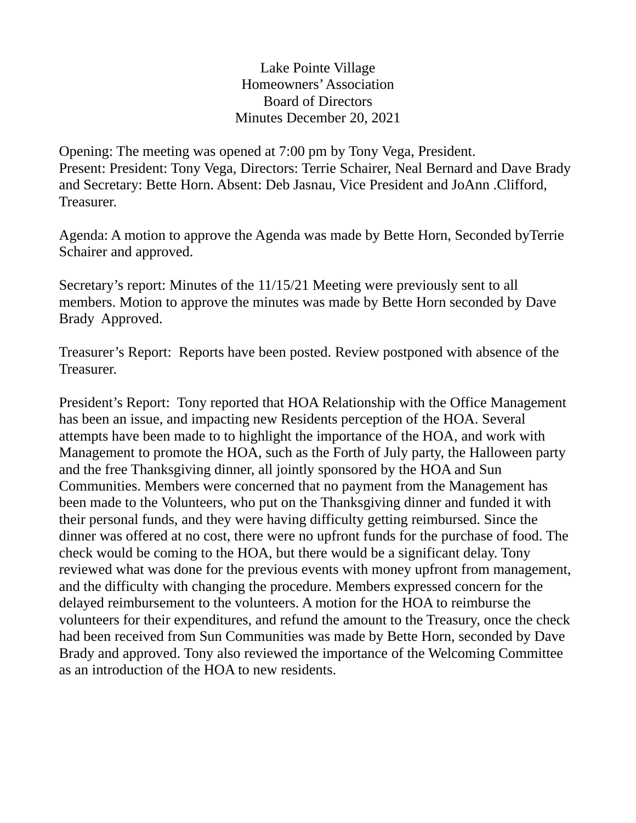Lake Pointe Village Homeowners' Association Board of Directors Minutes December 20, 2021

Opening: The meeting was opened at 7:00 pm by Tony Vega, President. Present: President: Tony Vega, Directors: Terrie Schairer, Neal Bernard and Dave Brady and Secretary: Bette Horn. Absent: Deb Jasnau, Vice President and JoAnn .Clifford, Treasurer.

Agenda: A motion to approve the Agenda was made by Bette Horn, Seconded byTerrie Schairer and approved.

Secretary's report: Minutes of the 11/15/21 Meeting were previously sent to all members. Motion to approve the minutes was made by Bette Horn seconded by Dave Brady Approved.

Treasurer's Report: Reports have been posted. Review postponed with absence of the Treasurer.

President's Report: Tony reported that HOA Relationship with the Office Management has been an issue, and impacting new Residents perception of the HOA. Several attempts have been made to to highlight the importance of the HOA, and work with Management to promote the HOA, such as the Forth of July party, the Halloween party and the free Thanksgiving dinner, all jointly sponsored by the HOA and Sun Communities. Members were concerned that no payment from the Management has been made to the Volunteers, who put on the Thanksgiving dinner and funded it with their personal funds, and they were having difficulty getting reimbursed. Since the dinner was offered at no cost, there were no upfront funds for the purchase of food. The check would be coming to the HOA, but there would be a significant delay. Tony reviewed what was done for the previous events with money upfront from management, and the difficulty with changing the procedure. Members expressed concern for the delayed reimbursement to the volunteers. A motion for the HOA to reimburse the volunteers for their expenditures, and refund the amount to the Treasury, once the check had been received from Sun Communities was made by Bette Horn, seconded by Dave Brady and approved. Tony also reviewed the importance of the Welcoming Committee as an introduction of the HOA to new residents.